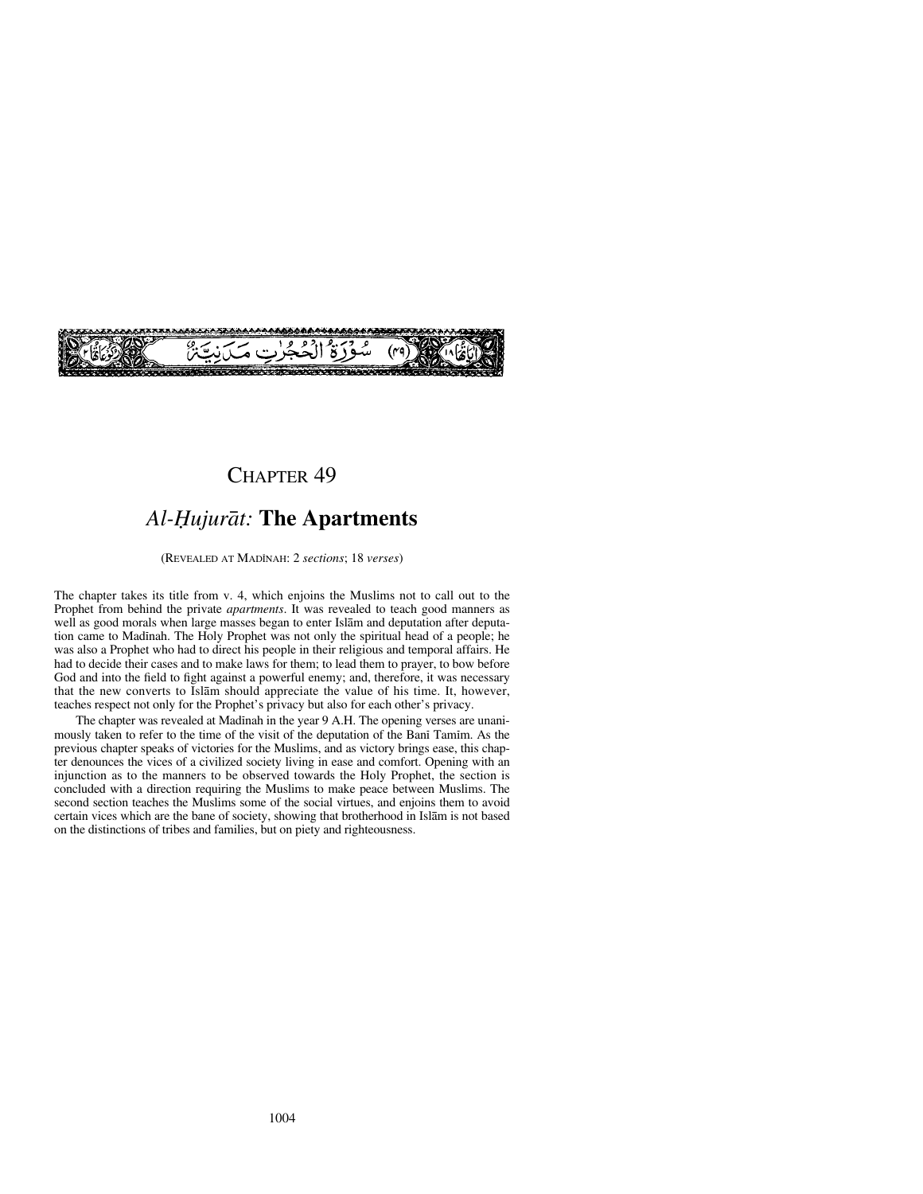

## CHAPTER 49

## *Al-Ïujuråt:* **The Apartments**

(REVEALED AT MADÍNAH: 2 *sections*; 18 *verses*)

The chapter takes its title from v. 4, which enjoins the Muslims not to call out to the Prophet from behind the private *apartments*. It was revealed to teach good manners as well as good morals when large masses began to enter Islåm and deputation after deputation came to Madinah. The Holy Prophet was not only the spiritual head of a people; he was also a Prophet who had to direct his people in their religious and temporal affairs. He had to decide their cases and to make laws for them; to lead them to prayer, to bow before God and into the field to fight against a powerful enemy; and, therefore, it was necessary that the new converts to Islåm should appreciate the value of his time. It, however, teaches respect not only for the Prophet's privacy but also for each other's privacy.

The chapter was revealed at Madinah in the year 9 A.H. The opening verses are unanimously taken to refer to the time of the visit of the deputation of the Bani Tamim. As the previous chapter speaks of victories for the Muslims, and as victory brings ease, this chapter denounces the vices of a civilized society living in ease and comfort. Opening with an injunction as to the manners to be observed towards the Holy Prophet, the section is concluded with a direction requiring the Muslims to make peace between Muslims. The second section teaches the Muslims some of the social virtues, and enjoins them to avoid certain vices which are the bane of society, showing that brotherhood in Islåm is not based on the distinctions of tribes and families, but on piety and righteousness.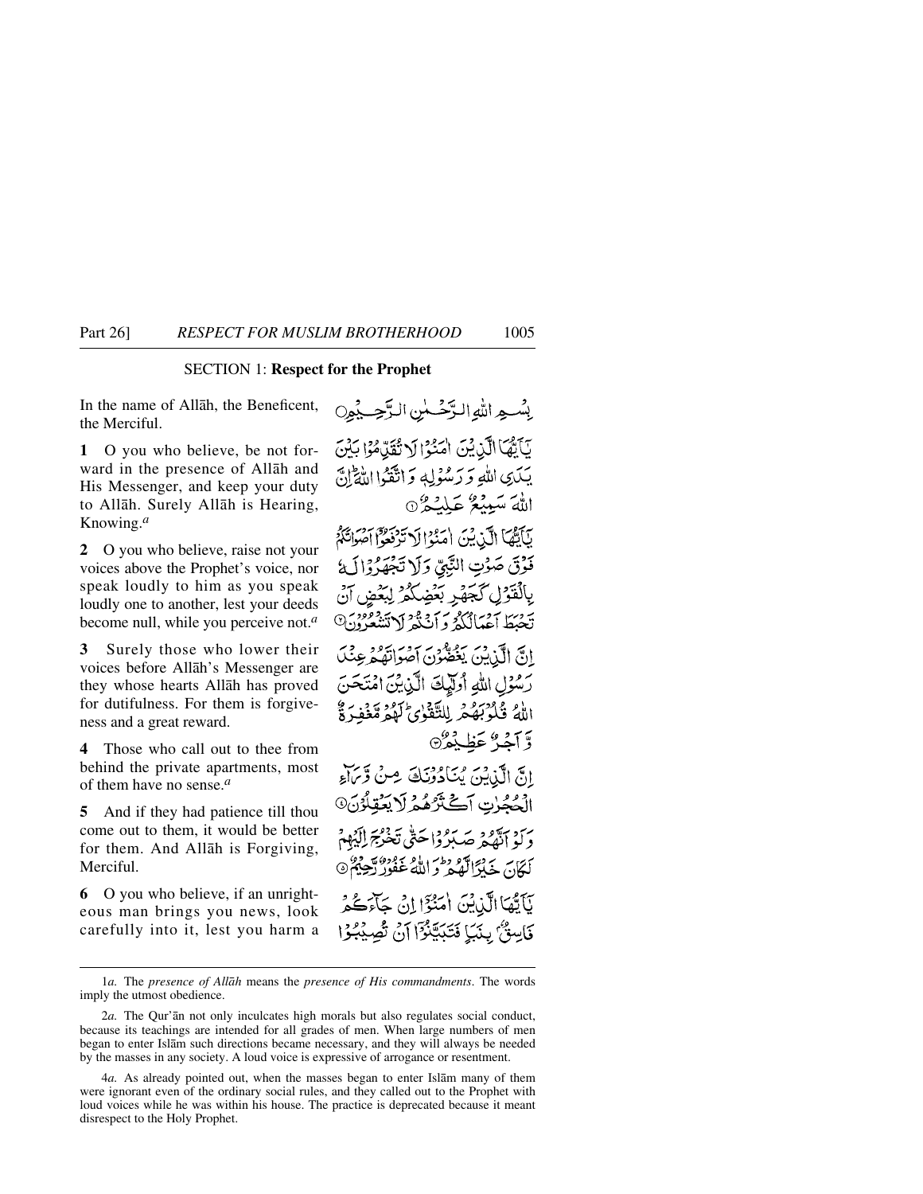## SECTION 1: **Respect for the Prophet**

In the name of Allåh, the Beneficent, the Merciful.

**1** O you who believe, be not forward in the presence of Allåh and His Messenger, and keep your duty to Allåh. Surely Allåh is Hearing, Knowing.*<sup>a</sup>*

**2** O you who believe, raise not your voices above the Prophet's voice, nor speak loudly to him as you speak loudly one to another, lest your deeds become null, while you perceive not.*<sup>a</sup>*

**3** Surely those who lower their voices before Allåh's Messenger are they whose hearts Allåh has proved for dutifulness. For them is forgiveness and a great reward.

**4** Those who call out to thee from behind the private apartments, most of them have no sense.*<sup>a</sup>*

**5** And if they had patience till thou come out to them, it would be better for them. And Allåh is Forgiving, Merciful.

**6** O you who believe, if an unrighteous man brings you news, look carefully into it, lest you harm a

بِسْعِ اللَّهِ الزَّحْسٰنِ الرَّحِبِيْنِ يَآيَّهَا الَّذِيْنَ اٰمَنُوْا لَا تُقَدَّمُوْا بَيْنَ يَكَدِى اللَّهِ وَرَسُوْلِهِ وَاتَّقَوْا اللَّهَ إِنَّ اللهَ سَيِّنْدُ عَلَيْدُ 6 بَأَيُّهَا الَّذِيْنَ اٰمَنُوْالَا تَدْفَعُوْاً آَصُوَاتَكُمْ فَوْقَ صَوْتِ النَّبِيِّ وَلَا تَجْهَرُوْالَةُ بِالْفَوْلِ كَجَهْرِ بَعْضِكُمْ لِبَعْضٍ تَحْبَطُ آَعْيَالُكُمْ وَ أَنْ يُدْ أَرْتَبَيْتُوا وَ انَّ الَّذِينَ يَغْضُوْنَ آصُوَاتِقُهُ ء رَسُوۡلِ اللَّهِ أُولَٰٓلِكَ الَّذِٰٓدِينَ امۡمَتَحَنَّ اللهُ قُدْبَهُ مِ لِلتَّقَدُّيِّ لَهُمْ مَّغُفِّ ةُ وَّ آجُيٌّ عَظيفُرٌ @ انَّ الَّذِيْنَ بِمَاَدُوْنَكَ مِنْ وَّيَاءُ الْعُجُرْتِ آَكَتْرُهُمْ لَا يَعْقِلُوْنَ۞ دَ مَنْ تَدْمَعُ صَبَدُوْا حَتَّى تَخْرُجَ إِلَيْهِمْ كَمَانَ خَلَوْالَّهُمْ وَاللَّهُ عَفُورٌ يَعْ بَأَيُّهَا الَّذِيْنَ أُمَنُوٓا إِنۡ جَآءَكُمْ فَاسِنٌّ بِنَيَا فَتَبَيَّنُوْٓا أَنْ تُصِيْبُوْا

<sup>1</sup>*a.* The *presence of Allåh* means the *presence of His commandments*. The words imply the utmost obedience.

<sup>2</sup>*a.* The Qur'ån not only inculcates high morals but also regulates social conduct, because its teachings are intended for all grades of men. When large numbers of men began to enter Islåm such directions became necessary, and they will always be needed by the masses in any society. A loud voice is expressive of arrogance or resentment.

<sup>4</sup>*a.* As already pointed out, when the masses began to enter Islåm many of them were ignorant even of the ordinary social rules, and they called out to the Prophet with loud voices while he was within his house. The practice is deprecated because it meant disrespect to the Holy Prophet.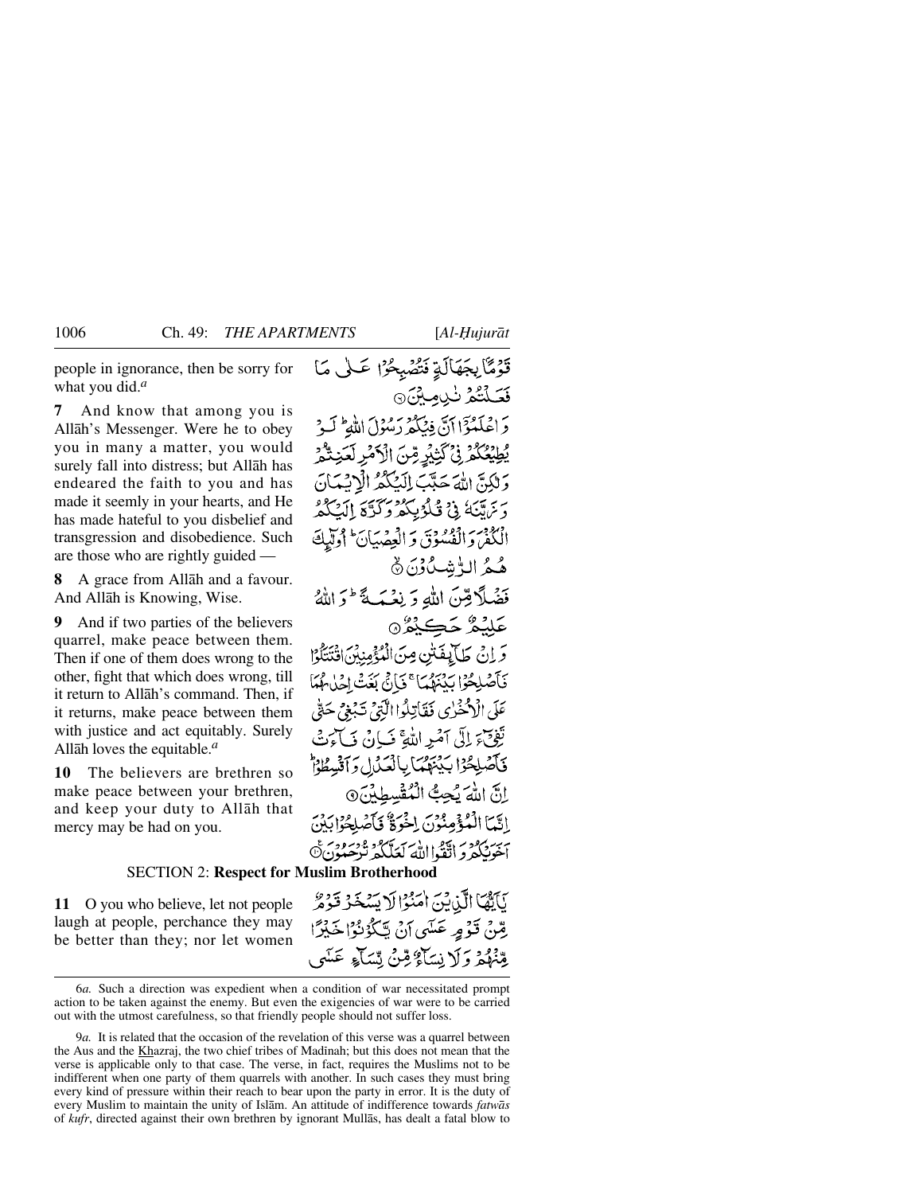people in ignorance, then be sorry for what you did.*<sup>a</sup>*

**7** And know that among you is Allåh's Messenger. Were he to obey you in many a matter, you would surely fall into distress; but Allåh has endeared the faith to you and has made it seemly in your hearts, and He has made hateful to you disbelief and transgression and disobedience. Such are those who are rightly guided —

**8** A grace from Allåh and a favour. And Allåh is Knowing, Wise.

**9** And if two parties of the believers quarrel, make peace between them. Then if one of them does wrong to the other, fight that which does wrong, till it return to Allåh's command. Then, if it returns, make peace between them with justice and act equitably. Surely Allåh loves the equitable.*<sup>a</sup>*

**10** The believers are brethren so make peace between your brethren, and keep your duty to Allåh that mercy may be had on you.

تَوَمَّا بِجَهَالَةِ نَشْهَبِحُرًا عَلَى مَا فَعَلَّتُكُمْ نَبْدِيمِيْنَ @ دَ اصْلَعْوْا أَنَّ فِيُبَكِّهِ رَسُوْلَ اللَّهِ ۖ لَيْهِ يُطِيْعُكُمْ فِي كَتِيْدِ مِّنَ الْأَمْرِ لَعَنِتُكُمْ وَ لَكِنَّ اللَّهَ حَدَّبَ إِلَيْكُمُ الْإِنْسَانَ دَيْرَةَ يَبْدُ فِي قَبْلُوْبِيكُمْ وَكَدْيَقَ إِيْمَةَ كَمْهُ الْكُفْرَ وَالْفُسُوْقَ وَالْعِضْيَانَ ۚ أُولَيْكَ هُجُمُ الٍّشَكْوْنَ ۞ فَضَلَّا مِّينَ اللَّهِ وَ نِعْبَهَ \* وَ اللَّهُ عَلِيْمٌ حَڪِيْمٌ۞ وَ إِنْ طَالِفَتْنِ مِنَ الْمُؤْمِنِينَ افْتَتَلَوْا فَأَصْلِحُوا بَيْنَهُمَا ۚ فَإِنَّ بَغَتْ إِخْلَامُهُمَا عَلَى الْإِحْفَرٰي فَقَاتِلُواالَّتِيُّ تَبۡعَىۡ حَقٌّ تَفِيَّ إِلَى آمَيْهِ اللَّهِ ۚ فَبَانٌ فَبَائِرَتُهِۚ فَأَصْلِحُوْا بَدْنَهُمَا بِالْعَذَلِ وَآَنَّسِطُوْا إِنَّ اللَّهَ نَجِتُ الْمُقْسِطِينَ 9 إِنَّمَا الْمُؤْمِنُونَ اِخْرَةٌ فَأَصْلِحُوا بِدَرَ سبير برد.<br>أخونبكم و اتَّقَواالله كعَلَّكُمْ تُرْحَبُونَ۞

## SECTION 2: **Respect for Muslim Brotherhood**

يَآَيَّهَا الَّذِينَ اٰمَنُوْالَا يَسْخَرُ قَوْمٌ **11** O you who believe, let not people laugh at people, perchance they may رِّسْ قَوْمٍ عَسَى آنْ يَكْوُنُوْا خَيْرًا be better than they; nor let women يِّنْهُمُّهُ وَلَا نِسَاءٌ قِنْ نِسَاءٍ عَسَى

<sup>6</sup>*a.* Such a direction was expedient when a condition of war necessitated prompt action to be taken against the enemy. But even the exigencies of war were to be carried out with the utmost carefulness, so that friendly people should not suffer loss.

<sup>9</sup>*a.* It is related that the occasion of the revelation of this verse was a quarrel between the Aus and the Khazraj, the two chief tribes of Madinah; but this does not mean that the verse is applicable only to that case. The verse, in fact, requires the Muslims not to be indifferent when one party of them quarrels with another. In such cases they must bring every kind of pressure within their reach to bear upon the party in error. It is the duty of every Muslim to maintain the unity of Islåm. An attitude of indifference towards *fatwås* of *kufr*, directed against their own brethren by ignorant Mullås, has dealt a fatal blow to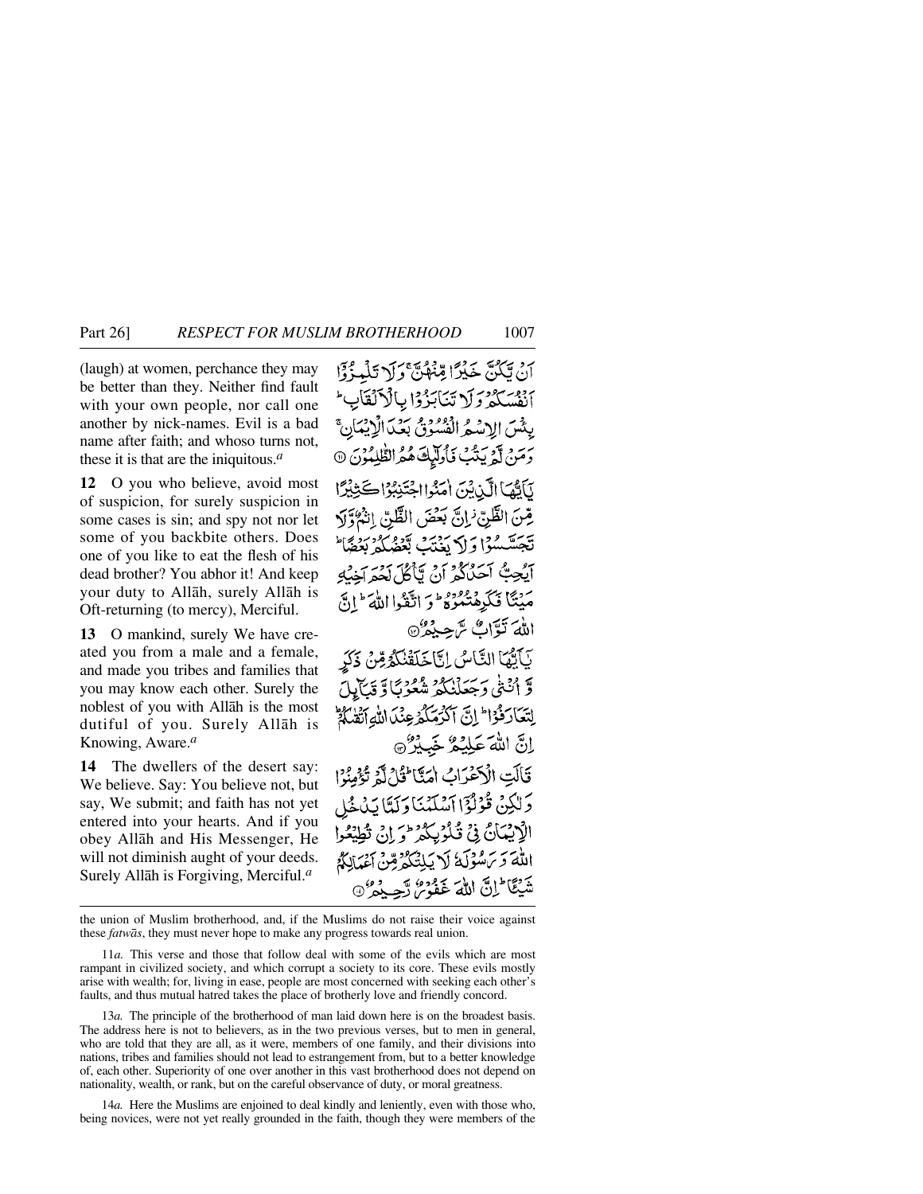(laugh) at women, perchance they may be better than they. Neither find fault with your own people, nor call one another by nick-names. Evil is a bad name after faith; and whoso turns not, these it is that are the iniquitous.*<sup>a</sup>*

**12** O you who believe, avoid most of suspicion, for surely suspicion in some cases is sin; and spy not nor let some of you backbite others. Does one of you like to eat the flesh of his dead brother? You abhor it! And keep your duty to Allåh, surely Allåh is Oft-returning (to mercy), Merciful.

**13** O mankind, surely We have created you from a male and a female, and made you tribes and families that you may know each other. Surely the noblest of you with Allåh is the most dutiful of you. Surely Allåh is Knowing, Aware.*<sup>a</sup>*

**14** The dwellers of the desert say: We believe. Say: You believe not, but say, We submit; and faith has not yet entered into your hearts. And if you obey Allåh and His Messenger, He will not diminish aught of your deeds. Surely Allåh is Forgiving, Merciful.*<sup>a</sup>*

أَنْ يَكُنَّ خَيْرًا مِّنْهُنَّ وَلَا تَلْمِزُوْا أنفسكم ولاتنا بذوا بالألقاب بِدْسَ الاسْعُرِ الْفُسُوقِ بِعَدِّ الْإِبْدَ رَمَنْ لَمْ يَتَّبُ فَأُولَّيْكَ هُمُ الظَّلِمُوْنَ @ لَأَلَّمَا الَّذِيْنَ أُمَنُوا اجْتَنِبُوْا كَثِيْرًا هِّنَ الظَّنِّ ٰزانَّ بَعْضَ الظَّنِّ اِنْہُوَّلَا تَجَسَّسُوْا وَإِلَّا يَغْتَبُ بَعْضُلُمْ بَعْضًا ايُجِبُّ أَحَدُكُمْ أَنْ يَأْكُلَ لَمُعَرَاخِيَةِ مَيْتًا فَكَرِهْتُمُوهُ وَاتَّقَوْا اللَّهَ ۚ إِنَّ اللهَ نَوَّاتٌ سَّ حِدُهُ ۞ يَأَيُّهَا النَّاسُ إِنَّا خَلَقْنُكُمْ مِّنْ ذَكَرِ وَّ أَنْتَنَىٰ وَجَعَلْنَكُمْ شُعُوْبًا وَ قِيَالِيلَ لِتَعَادَفُوْا إِنَّ آَكْرَ مَكْرُ عِنْدَ اللَّهِ آَتَ أَمْ إِنَّ اللَّهَ عَلِيْكُمْ خَبِيْرٌ ۞ قَالَتِ الْكَتْمَرَاتُ اٰمَيَّا ِ ثَارٌ لَّهُ تُؤْمِنُهُ ا دَلْكِنْ قُوْلُوْۤا آَسْلَنۡنَا دَلَتَانَدُنَا وَلَدَ الْإِنِيْمَانُ فِي ثَكْرُبِيِكُمْ مَنْ إِنِي تُطِيْعُوا اللَّهَ وَيَرَسُوْلَهُ لَا يَلِنَّكُمُ مِّنْ أَعْدَالِكُمْ شَيْئًا ۖ إِنَّ اللَّهَ غَفُومُ رَّجِبِكُمْ ۖ 9:

the union of Muslim brotherhood, and, if the Muslims do not raise their voice against these *fatwås*, they must never hope to make any progress towards real union.

11*a.* This verse and those that follow deal with some of the evils which are most rampant in civilized society, and which corrupt a society to its core. These evils mostly arise with wealth; for, living in ease, people are most concerned with seeking each other's faults, and thus mutual hatred takes the place of brotherly love and friendly concord.

13*a.* The principle of the brotherhood of man laid down here is on the broadest basis. The address here is not to believers, as in the two previous verses, but to men in general, who are told that they are all, as it were, members of one family, and their divisions into nations, tribes and families should not lead to estrangement from, but to a better knowledge of, each other. Superiority of one over another in this vast brotherhood does not depend on nationality, wealth, or rank, but on the careful observance of duty, or moral greatness.

14*a.* Here the Muslims are enjoined to deal kindly and leniently, even with those who, being novices, were not yet really grounded in the faith, though they were members of the